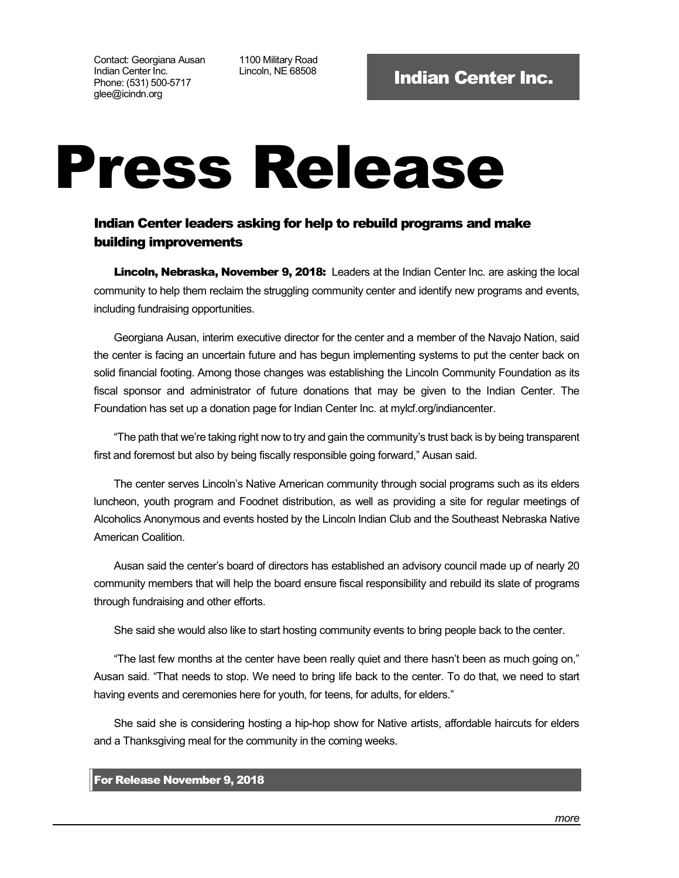Contact: Georgiana Ausan Indian Center Inc. Phone: (531) 500-5717 glee@icindn.org

1100 Military Road

## Press Release

## Indian Center leaders asking for help to rebuild programs and make building improvements

Lincoln, Nebraska, November 9, 2018: Leaders at the Indian Center Inc. are asking the local community to help them reclaim the struggling community center and identify new programs and events, including fundraising opportunities.

Georgiana Ausan, interim executive director for the center and a member of the Navajo Nation, said the center is facing an uncertain future and has begun implementing systems to put the center back on solid financial footing. Among those changes was establishing the Lincoln Community Foundation as its fiscal sponsor and administrator of future donations that may be given to the Indian Center. The Foundation has set up a donation page for Indian Center Inc. at mylcf.org/indiancenter.

"The path that we're taking right now to try and gain the community's trust back is by being transparent first and foremost but also by being fiscally responsible going forward," Ausan said.

The center serves Lincoln's Native American community through social programs such as its elders luncheon, youth program and Foodnet distribution, as well as providing a site for regular meetings of Alcoholics Anonymous and events hosted by the Lincoln Indian Club and the Southeast Nebraska Native American Coalition.

Ausan said the center's board of directors has established an advisory council made up of nearly 20 community members that will help the board ensure fiscal responsibility and rebuild its slate of programs through fundraising and other efforts.

She said she would also like to start hosting community events to bring people back to the center.

"The last few months at the center have been really quiet and there hasn't been as much going on," Ausan said. "That needs to stop. We need to bring life back to the center. To do that, we need to start having events and ceremonies here for youth, for teens, for adults, for elders."

She said she is considering hosting a hip-hop show for Native artists, affordable haircuts for elders and a Thanksgiving meal for the community in the coming weeks.

## For Release November 9, 2018